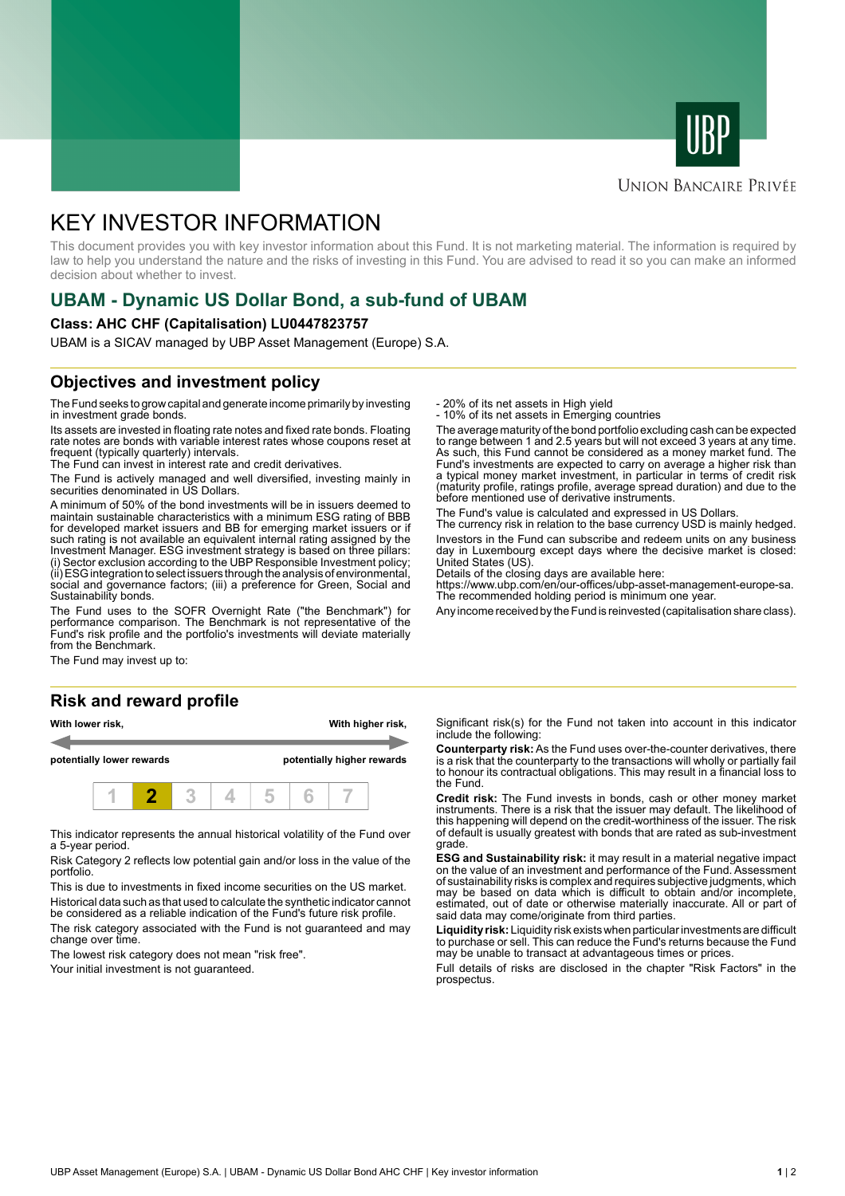



## **UNION BANCAIRE PRIVÉE**

# KEY INVESTOR INFORMATION

This document provides you with key investor information about this Fund. It is not marketing material. The information is required by law to help you understand the nature and the risks of investing in this Fund. You are advised to read it so you can make an informed decision about whether to invest.

# **UBAM - Dynamic US Dollar Bond, a sub-fund of UBAM**

#### **Class: AHC CHF (Capitalisation) LU0447823757**

UBAM is a SICAV managed by UBP Asset Management (Europe) S.A.

# **Objectives and investment policy**

The Fund seeks to grow capital and generate income primarily by investing in investment grade bonds.

Its assets are invested in floating rate notes and fixed rate bonds. Floating rate notes are bonds with variable interest rates whose coupons reset at frequent (typically quarterly) intervals.

The Fund can invest in interest rate and credit derivatives.

The Fund is actively managed and well diversified, investing mainly in securities denominated in US Dollars.

A minimum of 50% of the bond investments will be in issuers deemed to maintain sustainable characteristics with a minimum ESG rating of BBB for developed market issuers and BB for emerging market issuers or if such rating is not available an equivalent internal rating assigned by the Investment Manager. ESG investment strategy is based on three pillars: (i) Sector exclusion according to the UBP Responsible Investment policy; (ii) ESG integration to select issuers through the analysis of environmental, social and governance factors; (iii) a preference for Green, Social and Sustainability bonds.

The Fund uses to the SOFR Overnight Rate ("the Benchmark") for performance comparison. The Benchmark is not representative of the Fund's risk profile and the portfolio's investments will deviate materially from the Benchmark.

The Fund may invest up to:

### **Risk and reward profile**





This indicator represents the annual historical volatility of the Fund over a 5-year period.

Risk Category 2 reflects low potential gain and/or loss in the value of the portfolio.

This is due to investments in fixed income securities on the US market. Historical data such as that used to calculate the synthetic indicator cannot be considered as a reliable indication of the Fund's future risk profile.

The risk category associated with the Fund is not guaranteed and may change over time.

The lowest risk category does not mean "risk free".

Your initial investment is not guaranteed.

- 20% of its net assets in High yield

- 10% of its net assets in Emerging countries

The average maturity of the bond portfolio excluding cash can be expected to range between 1 and 2.5 years but will not exceed 3 years at any time. As such, this Fund cannot be considered as a money market fund. The Fund's investments are expected to carry on average a higher risk than a typical money market investment, in particular in terms of credit risk (maturity profile, ratings profile, average spread duration) and due to the before mentioned use of derivative instruments.

The Fund's value is calculated and expressed in US Dollars.

The currency risk in relation to the base currency USD is mainly hedged. Investors in the Fund can subscribe and redeem units on any business day in Luxembourg except days where the decisive market is closed:

United States (US). Details of the closing days are available here:

https://www.ubp.com/en/our-offices/ubp-asset-management-europe-sa. The recommended holding period is minimum one year.

Any income received by the Fund is reinvested (capitalisation share class).

Significant risk(s) for the Fund not taken into account in this indicator include the following:

**Counterparty risk:** As the Fund uses over-the-counter derivatives, there is a risk that the counterparty to the transactions will wholly or partially fail to honour its contractual obligations. This may result in a financial loss to the Fund.

**Credit risk:** The Fund invests in bonds, cash or other money market instruments. There is a risk that the issuer may default. The likelihood of this happening will depend on the credit-worthiness of the issuer. The risk of default is usually greatest with bonds that are rated as sub-investment grade.

**ESG and Sustainability risk:** it may result in a material negative impact on the value of an investment and performance of the Fund. Assessment of sustainability risks is complex and requires subjective judgments, which may be based on data which is difficult to obtain and/or incomplete, estimated, out of date or otherwise materially inaccurate. All or part of said data may come/originate from third parties.

**Liquidity risk:** Liquidity risk exists when particular investments are difficult to purchase or sell. This can reduce the Fund's returns because the Fund may be unable to transact at advantageous times or prices.

Full details of risks are disclosed in the chapter "Risk Factors" in the prospectus.